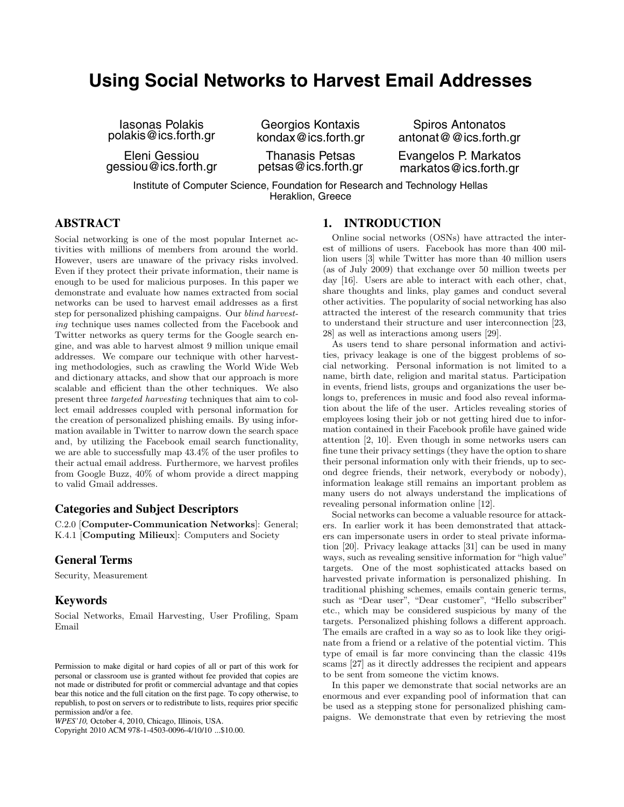# **Using Social Networks to Harvest Email Addresses**

Iasonas Polakis

Eleni Gessiou gessiou@ics.forth.gr

polakis@ics.forth.gr Georgios Kontaxis kondax@ics.forth.gr

Thanasis Petsas<br>petsas@ics.forth.gr

Spiros Antonatos antonat@@ics.forth.gr

Evangelos P. Markatos markatos@ics.forth.gr

Institute of Computer Science, Foundation for Research and Technology Hellas Heraklion, Greece

# **ABSTRACT**

Social networking is one of the most popular Internet activities with millions of members from around the world. However, users are unaware of the privacy risks involved. Even if they protect their private information, their name is enough to be used for malicious purposes. In this paper we demonstrate and evaluate how names extracted from social networks can be used to harvest email addresses as a first step for personalized phishing campaigns. Our blind harvesting technique uses names collected from the Facebook and Twitter networks as query terms for the Google search engine, and was able to harvest almost 9 million unique email addresses. We compare our technique with other harvesting methodologies, such as crawling the World Wide Web and dictionary attacks, and show that our approach is more scalable and efficient than the other techniques. We also present three targeted harvesting techniques that aim to collect email addresses coupled with personal information for the creation of personalized phishing emails. By using information available in Twitter to narrow down the search space and, by utilizing the Facebook email search functionality, we are able to successfully map 43.4% of the user profiles to their actual email address. Furthermore, we harvest profiles from Google Buzz, 40% of whom provide a direct mapping to valid Gmail addresses.

## **Categories and Subject Descriptors**

C.2.0 [**Computer-Communication Networks**]: General; K.4.1 [**Computing Milieux**]: Computers and Society

## **General Terms**

Security, Measurement

### **Keywords**

Social Networks, Email Harvesting, User Profiling, Spam Email

Copyright 2010 ACM 978-1-4503-0096-4/10/10 ...\$10.00.

# **1. INTRODUCTION**

Online social networks (OSNs) have attracted the interest of millions of users. Facebook has more than 400 million users [3] while Twitter has more than 40 million users (as of July 2009) that exchange over 50 million tweets per day [16]. Users are able to interact with each other, chat, share thoughts and links, play games and conduct several other activities. The popularity of social networking has also attracted the interest of the research community that tries to understand their structure and user interconnection [23, 28] as well as interactions among users [29].

As users tend to share personal information and activities, privacy leakage is one of the biggest problems of social networking. Personal information is not limited to a name, birth date, religion and marital status. Participation in events, friend lists, groups and organizations the user belongs to, preferences in music and food also reveal information about the life of the user. Articles revealing stories of employees losing their job or not getting hired due to information contained in their Facebook profile have gained wide attention [2, 10]. Even though in some networks users can fine tune their privacy settings (they have the option to share their personal information only with their friends, up to second degree friends, their network, everybody or nobody), information leakage still remains an important problem as many users do not always understand the implications of revealing personal information online [12].

Social networks can become a valuable resource for attackers. In earlier work it has been demonstrated that attackers can impersonate users in order to steal private information [20]. Privacy leakage attacks [31] can be used in many ways, such as revealing sensitive information for "high value" targets. One of the most sophisticated attacks based on harvested private information is personalized phishing. In traditional phishing schemes, emails contain generic terms, such as "Dear user", "Dear customer", "Hello subscriber" etc., which may be considered suspicious by many of the targets. Personalized phishing follows a different approach. The emails are crafted in a way so as to look like they originate from a friend or a relative of the potential victim. This type of email is far more convincing than the classic 419s scams [27] as it directly addresses the recipient and appears to be sent from someone the victim knows.

In this paper we demonstrate that social networks are an enormous and ever expanding pool of information that can be used as a stepping stone for personalized phishing campaigns. We demonstrate that even by retrieving the most

Permission to make digital or hard copies of all or part of this work for personal or classroom use is granted without fee provided that copies are not made or distributed for profit or commercial advantage and that copies bear this notice and the full citation on the first page. To copy otherwise, to republish, to post on servers or to redistribute to lists, requires prior specific permission and/or a fee.

*WPES'10,* October 4, 2010, Chicago, Illinois, USA.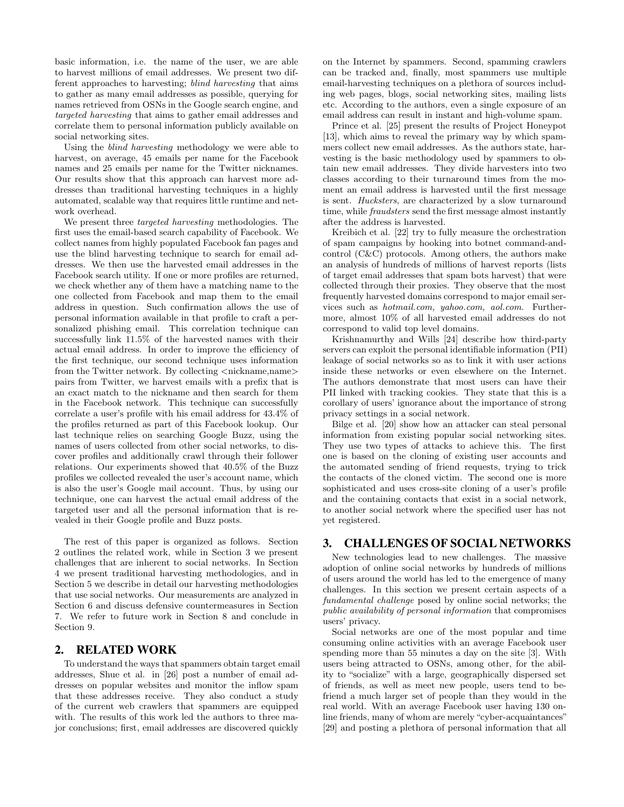basic information, i.e. the name of the user, we are able to harvest millions of email addresses. We present two different approaches to harvesting; blind harvesting that aims to gather as many email addresses as possible, querying for names retrieved from OSNs in the Google search engine, and targeted harvesting that aims to gather email addresses and correlate them to personal information publicly available on social networking sites.

Using the blind harvesting methodology we were able to harvest, on average, 45 emails per name for the Facebook names and 25 emails per name for the Twitter nicknames. Our results show that this approach can harvest more addresses than traditional harvesting techniques in a highly automated, scalable way that requires little runtime and network overhead.

We present three targeted harvesting methodologies. The first uses the email-based search capability of Facebook. We collect names from highly populated Facebook fan pages and use the blind harvesting technique to search for email addresses. We then use the harvested email addresses in the Facebook search utility. If one or more profiles are returned, we check whether any of them have a matching name to the one collected from Facebook and map them to the email address in question. Such confirmation allows the use of personal information available in that profile to craft a personalized phishing email. This correlation technique can successfully link 11.5% of the harvested names with their actual email address. In order to improve the efficiency of the first technique, our second technique uses information from the Twitter network. By collecting *<*nickname,name*>* pairs from Twitter, we harvest emails with a prefix that is an exact match to the nickname and then search for them in the Facebook network. This technique can successfully correlate a user's profile with his email address for 43.4% of the profiles returned as part of this Facebook lookup. Our last technique relies on searching Google Buzz, using the names of users collected from other social networks, to discover profiles and additionally crawl through their follower relations. Our experiments showed that 40.5% of the Buzz profiles we collected revealed the user's account name, which is also the user's Google mail account. Thus, by using our technique, one can harvest the actual email address of the targeted user and all the personal information that is revealed in their Google profile and Buzz posts.

The rest of this paper is organized as follows. Section 2 outlines the related work, while in Section 3 we present challenges that are inherent to social networks. In Section 4 we present traditional harvesting methodologies, and in Section 5 we describe in detail our harvesting methodologies that use social networks. Our measurements are analyzed in Section 6 and discuss defensive countermeasures in Section 7. We refer to future work in Section 8 and conclude in Section 9.

## **2. RELATED WORK**

To understand the ways that spammers obtain target email addresses, Shue et al. in [26] post a number of email addresses on popular websites and monitor the inflow spam that these addresses receive. They also conduct a study of the current web crawlers that spammers are equipped with. The results of this work led the authors to three major conclusions; first, email addresses are discovered quickly

on the Internet by spammers. Second, spamming crawlers can be tracked and, finally, most spammers use multiple email-harvesting techniques on a plethora of sources including web pages, blogs, social networking sites, mailing lists etc. According to the authors, even a single exposure of an email address can result in instant and high-volume spam.

Prince et al. [25] present the results of Project Honeypot [13], which aims to reveal the primary way by which spammers collect new email addresses. As the authors state, harvesting is the basic methodology used by spammers to obtain new email addresses. They divide harvesters into two classes according to their turnaround times from the moment an email address is harvested until the first message is sent. Hucksters, are characterized by a slow turnaround time, while fraudsters send the first message almost instantly after the address is harvested.

Kreibich et al. [22] try to fully measure the orchestration of spam campaigns by hooking into botnet command-andcontrol (C&C) protocols. Among others, the authors make an analysis of hundreds of millions of harvest reports (lists of target email addresses that spam bots harvest) that were collected through their proxies. They observe that the most frequently harvested domains correspond to major email services such as hotmail.com, yahoo.com, aol.com. Furthermore, almost 10% of all harvested email addresses do not correspond to valid top level domains.

Krishnamurthy and Wills [24] describe how third-party servers can exploit the personal identifiable information (PII) leakage of social networks so as to link it with user actions inside these networks or even elsewhere on the Internet. The authors demonstrate that most users can have their PII linked with tracking cookies. They state that this is a corollary of users' ignorance about the importance of strong privacy settings in a social network.

Bilge et al. [20] show how an attacker can steal personal information from existing popular social networking sites. They use two types of attacks to achieve this. The first one is based on the cloning of existing user accounts and the automated sending of friend requests, trying to trick the contacts of the cloned victim. The second one is more sophisticated and uses cross-site cloning of a user's profile and the containing contacts that exist in a social network, to another social network where the specified user has not yet registered.

#### **3. CHALLENGES OF SOCIAL NETWORKS**

New technologies lead to new challenges. The massive adoption of online social networks by hundreds of millions of users around the world has led to the emergence of many challenges. In this section we present certain aspects of a fundamental challenge posed by online social networks; the public availability of personal information that compromises users' privacy.

Social networks are one of the most popular and time consuming online activities with an average Facebook user spending more than 55 minutes a day on the site [3]. With users being attracted to OSNs, among other, for the ability to "socialize" with a large, geographically dispersed set of friends, as well as meet new people, users tend to befriend a much larger set of people than they would in the real world. With an average Facebook user having 130 online friends, many of whom are merely "cyber-acquaintances" [29] and posting a plethora of personal information that all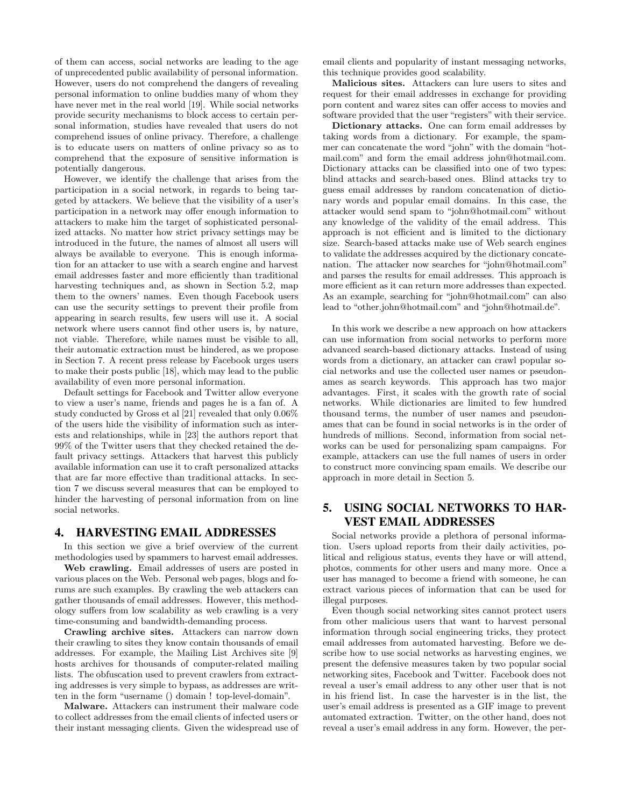of them can access, social networks are leading to the age of unprecedented public availability of personal information. However, users do not comprehend the dangers of revealing personal information to online buddies many of whom they have never met in the real world [19]. While social networks provide security mechanisms to block access to certain personal information, studies have revealed that users do not comprehend issues of online privacy. Therefore, a challenge is to educate users on matters of online privacy so as to comprehend that the exposure of sensitive information is potentially dangerous.

However, we identify the challenge that arises from the participation in a social network, in regards to being targeted by attackers. We believe that the visibility of a user's participation in a network may offer enough information to attackers to make him the target of sophisticated personalized attacks. No matter how strict privacy settings may be introduced in the future, the names of almost all users will always be available to everyone. This is enough information for an attacker to use with a search engine and harvest email addresses faster and more efficiently than traditional harvesting techniques and, as shown in Section 5.2, map them to the owners' names. Even though Facebook users can use the security settings to prevent their profile from appearing in search results, few users will use it. A social network where users cannot find other users is, by nature, not viable. Therefore, while names must be visible to all, their automatic extraction must be hindered, as we propose in Section 7. A recent press release by Facebook urges users to make their posts public [18], which may lead to the public availability of even more personal information.

Default settings for Facebook and Twitter allow everyone to view a user's name, friends and pages he is a fan of. A study conducted by Gross et al [21] revealed that only 0.06% of the users hide the visibility of information such as interests and relationships, while in [23] the authors report that 99% of the Twitter users that they checked retained the default privacy settings. Attackers that harvest this publicly available information can use it to craft personalized attacks that are far more effective than traditional attacks. In section 7 we discuss several measures that can be employed to hinder the harvesting of personal information from on line social networks.

#### **4. HARVESTING EMAIL ADDRESSES**

In this section we give a brief overview of the current methodologies used by spammers to harvest email addresses.

**Web crawling.** Email addresses of users are posted in various places on the Web. Personal web pages, blogs and forums are such examples. By crawling the web attackers can gather thousands of email addresses. However, this methodology suffers from low scalability as web crawling is a very time-consuming and bandwidth-demanding process.

**Crawling archive sites.** Attackers can narrow down their crawling to sites they know contain thousands of email addresses. For example, the Mailing List Archives site [9] hosts archives for thousands of computer-related mailing lists. The obfuscation used to prevent crawlers from extracting addresses is very simple to bypass, as addresses are written in the form "username () domain ! top-level-domain".

**Malware.** Attackers can instrument their malware code to collect addresses from the email clients of infected users or their instant messaging clients. Given the widespread use of email clients and popularity of instant messaging networks, this technique provides good scalability.

**Malicious sites.** Attackers can lure users to sites and request for their email addresses in exchange for providing porn content and warez sites can offer access to movies and software provided that the user "registers" with their service.

**Dictionary attacks.** One can form email addresses by taking words from a dictionary. For example, the spammer can concatenate the word "john" with the domain "hotmail.com" and form the email address john@hotmail.com. Dictionary attacks can be classified into one of two types: blind attacks and search-based ones. Blind attacks try to guess email addresses by random concatenation of dictionary words and popular email domains. In this case, the attacker would send spam to "john@hotmail.com" without any knowledge of the validity of the email address. This approach is not efficient and is limited to the dictionary size. Search-based attacks make use of Web search engines to validate the addresses acquired by the dictionary concatenation. The attacker now searches for "john@hotmail.com" and parses the results for email addresses. This approach is more efficient as it can return more addresses than expected. As an example, searching for "john@hotmail.com" can also lead to "other.john@hotmail.com" and "john@hotmail.de".

In this work we describe a new approach on how attackers can use information from social networks to perform more advanced search-based dictionary attacks. Instead of using words from a dictionary, an attacker can crawl popular social networks and use the collected user names or pseudonames as search keywords. This approach has two major advantages. First, it scales with the growth rate of social networks. While dictionaries are limited to few hundred thousand terms, the number of user names and pseudonames that can be found in social networks is in the order of hundreds of millions. Second, information from social networks can be used for personalizing spam campaigns. For example, attackers can use the full names of users in order to construct more convincing spam emails. We describe our approach in more detail in Section 5.

# **5. USING SOCIAL NETWORKS TO HAR-VEST EMAIL ADDRESSES**

Social networks provide a plethora of personal information. Users upload reports from their daily activities, political and religious status, events they have or will attend, photos, comments for other users and many more. Once a user has managed to become a friend with someone, he can extract various pieces of information that can be used for illegal purposes.

Even though social networking sites cannot protect users from other malicious users that want to harvest personal information through social engineering tricks, they protect email addresses from automated harvesting. Before we describe how to use social networks as harvesting engines, we present the defensive measures taken by two popular social networking sites, Facebook and Twitter. Facebook does not reveal a user's email address to any other user that is not in his friend list. In case the harvester is in the list, the user's email address is presented as a GIF image to prevent automated extraction. Twitter, on the other hand, does not reveal a user's email address in any form. However, the per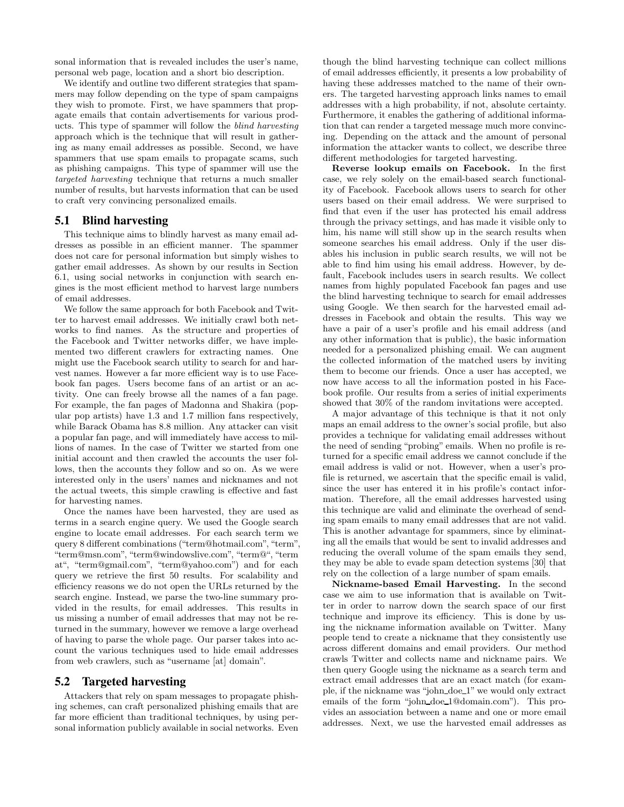sonal information that is revealed includes the user's name, personal web page, location and a short bio description.

We identify and outline two different strategies that spammers may follow depending on the type of spam campaigns they wish to promote. First, we have spammers that propagate emails that contain advertisements for various products. This type of spammer will follow the blind harvesting approach which is the technique that will result in gathering as many email addresses as possible. Second, we have spammers that use spam emails to propagate scams, such as phishing campaigns. This type of spammer will use the targeted harvesting technique that returns a much smaller number of results, but harvests information that can be used to craft very convincing personalized emails.

#### **5.1 Blind harvesting**

This technique aims to blindly harvest as many email addresses as possible in an efficient manner. The spammer does not care for personal information but simply wishes to gather email addresses. As shown by our results in Section 6.1, using social networks in conjunction with search engines is the most efficient method to harvest large numbers of email addresses.

We follow the same approach for both Facebook and Twitter to harvest email addresses. We initially crawl both networks to find names. As the structure and properties of the Facebook and Twitter networks differ, we have implemented two different crawlers for extracting names. One might use the Facebook search utility to search for and harvest names. However a far more efficient way is to use Facebook fan pages. Users become fans of an artist or an activity. One can freely browse all the names of a fan page. For example, the fan pages of Madonna and Shakira (popular pop artists) have 1.3 and 1.7 million fans respectively, while Barack Obama has 8.8 million. Any attacker can visit a popular fan page, and will immediately have access to millions of names. In the case of Twitter we started from one initial account and then crawled the accounts the user follows, then the accounts they follow and so on. As we were interested only in the users' names and nicknames and not the actual tweets, this simple crawling is effective and fast for harvesting names.

Once the names have been harvested, they are used as terms in a search engine query. We used the Google search engine to locate email addresses. For each search term we query 8 different combinations ("term@hotmail.com", "term", "term@msn.com", "term@windowslive.com", "term@", "term at", "term@gmail.com", "term@yahoo.com") and for each query we retrieve the first 50 results. For scalability and efficiency reasons we do not open the URLs returned by the search engine. Instead, we parse the two-line summary provided in the results, for email addresses. This results in us missing a number of email addresses that may not be returned in the summary, however we remove a large overhead of having to parse the whole page. Our parser takes into account the various techniques used to hide email addresses from web crawlers, such as "username [at] domain".

#### **5.2 Targeted harvesting**

Attackers that rely on spam messages to propagate phishing schemes, can craft personalized phishing emails that are far more efficient than traditional techniques, by using personal information publicly available in social networks. Even though the blind harvesting technique can collect millions of email addresses efficiently, it presents a low probability of having these addresses matched to the name of their owners. The targeted harvesting approach links names to email addresses with a high probability, if not, absolute certainty. Furthermore, it enables the gathering of additional information that can render a targeted message much more convincing. Depending on the attack and the amount of personal information the attacker wants to collect, we describe three different methodologies for targeted harvesting.

**Reverse lookup emails on Facebook.** In the first case, we rely solely on the email-based search functionality of Facebook. Facebook allows users to search for other users based on their email address. We were surprised to find that even if the user has protected his email address through the privacy settings, and has made it visible only to him, his name will still show up in the search results when someone searches his email address. Only if the user disables his inclusion in public search results, we will not be able to find him using his email address. However, by default, Facebook includes users in search results. We collect names from highly populated Facebook fan pages and use the blind harvesting technique to search for email addresses using Google. We then search for the harvested email addresses in Facebook and obtain the results. This way we have a pair of a user's profile and his email address (and any other information that is public), the basic information needed for a personalized phishing email. We can augment the collected information of the matched users by inviting them to become our friends. Once a user has accepted, we now have access to all the information posted in his Facebook profile. Our results from a series of initial experiments showed that 30% of the random invitations were accepted.

A major advantage of this technique is that it not only maps an email address to the owner's social profile, but also provides a technique for validating email addresses without the need of sending "probing" emails. When no profile is returned for a specific email address we cannot conclude if the email address is valid or not. However, when a user's profile is returned, we ascertain that the specific email is valid, since the user has entered it in his profile's contact information. Therefore, all the email addresses harvested using this technique are valid and eliminate the overhead of sending spam emails to many email addresses that are not valid. This is another advantage for spammers, since by eliminating all the emails that would be sent to invalid addresses and reducing the overall volume of the spam emails they send, they may be able to evade spam detection systems [30] that rely on the collection of a large number of spam emails.

**Nickname-based Email Harvesting.** In the second case we aim to use information that is available on Twitter in order to narrow down the search space of our first technique and improve its efficiency. This is done by using the nickname information available on Twitter. Many people tend to create a nickname that they consistently use across different domains and email providers. Our method crawls Twitter and collects name and nickname pairs. We then query Google using the nickname as a search term and extract email addresses that are an exact match (for example, if the nickname was "john doe 1" we would only extract emails of the form "john doe 1@domain.com"). This provides an association between a name and one or more email addresses. Next, we use the harvested email addresses as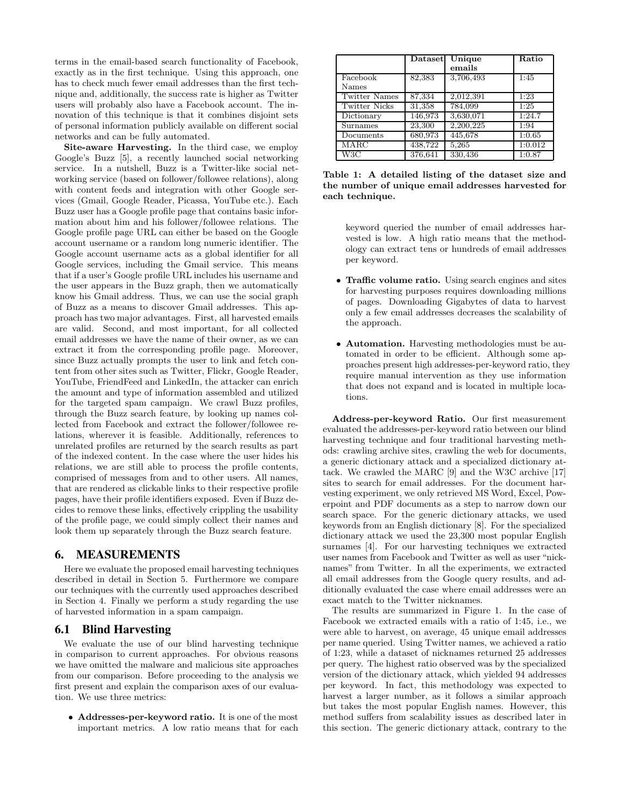terms in the email-based search functionality of Facebook, exactly as in the first technique. Using this approach, one has to check much fewer email addresses than the first technique and, additionally, the success rate is higher as Twitter users will probably also have a Facebook account. The innovation of this technique is that it combines disjoint sets of personal information publicly available on different social networks and can be fully automated.

**Site-aware Harvesting.** In the third case, we employ Google's Buzz [5], a recently launched social networking service. In a nutshell, Buzz is a Twitter-like social networking service (based on follower/followee relations), along with content feeds and integration with other Google services (Gmail, Google Reader, Picassa, YouTube etc.). Each Buzz user has a Google profile page that contains basic information about him and his follower/followee relations. The Google profile page URL can either be based on the Google account username or a random long numeric identifier. The Google account username acts as a global identifier for all Google services, including the Gmail service. This means that if a user's Google profile URL includes his username and the user appears in the Buzz graph, then we automatically know his Gmail address. Thus, we can use the social graph of Buzz as a means to discover Gmail addresses. This approach has two major advantages. First, all harvested emails are valid. Second, and most important, for all collected email addresses we have the name of their owner, as we can extract it from the corresponding profile page. Moreover, since Buzz actually prompts the user to link and fetch content from other sites such as Twitter, Flickr, Google Reader, YouTube, FriendFeed and LinkedIn, the attacker can enrich the amount and type of information assembled and utilized for the targeted spam campaign. We crawl Buzz profiles, through the Buzz search feature, by looking up names collected from Facebook and extract the follower/followee relations, wherever it is feasible. Additionally, references to unrelated profiles are returned by the search results as part of the indexed content. In the case where the user hides his relations, we are still able to process the profile contents, comprised of messages from and to other users. All names, that are rendered as clickable links to their respective profile pages, have their profile identifiers exposed. Even if Buzz decides to remove these links, effectively crippling the usability of the profile page, we could simply collect their names and look them up separately through the Buzz search feature.

## **6. MEASUREMENTS**

Here we evaluate the proposed email harvesting techniques described in detail in Section 5. Furthermore we compare our techniques with the currently used approaches described in Section 4. Finally we perform a study regarding the use of harvested information in a spam campaign.

#### **6.1 Blind Harvesting**

We evaluate the use of our blind harvesting technique in comparison to current approaches. For obvious reasons we have omitted the malware and malicious site approaches from our comparison. Before proceeding to the analysis we first present and explain the comparison axes of our evaluation. We use three metrics:

*•* **Addresses-per-keyword ratio.** It is one of the most important metrics. A low ratio means that for each

|                      | Dataset | Unique<br>emails | Ratio   |
|----------------------|---------|------------------|---------|
| Facebook<br>Names    | 82,383  | 3,706,493        | 1:45    |
| <b>Twitter Names</b> | 87,334  | 2,012,391        | 1:23    |
| <b>Twitter Nicks</b> | 31,358  | 784,099          | 1:25    |
| Dictionary           | 146,973 | 3,630,071        | 1:24.7  |
| Surnames             | 23,300  | 2,200,225        | 1:94    |
| Documents            | 680,973 | 445,678          | 1:0.65  |
| MARC                 | 438,722 | 5,265            | 1:0.012 |
| W3C                  | 376,641 | 330,436          | 1:0.87  |

**Table 1: A detailed listing of the dataset size and the number of unique email addresses harvested for each technique.**

keyword queried the number of email addresses harvested is low. A high ratio means that the methodology can extract tens or hundreds of email addresses per keyword.

- *•* **Traffic volume ratio.** Using search engines and sites for harvesting purposes requires downloading millions of pages. Downloading Gigabytes of data to harvest only a few email addresses decreases the scalability of the approach.
- *•* **Automation.** Harvesting methodologies must be automated in order to be efficient. Although some approaches present high addresses-per-keyword ratio, they require manual intervention as they use information that does not expand and is located in multiple locations.

**Address-per-keyword Ratio.** Our first measurement evaluated the addresses-per-keyword ratio between our blind harvesting technique and four traditional harvesting methods: crawling archive sites, crawling the web for documents, a generic dictionary attack and a specialized dictionary attack. We crawled the MARC [9] and the W3C archive [17] sites to search for email addresses. For the document harvesting experiment, we only retrieved MS Word, Excel, Powerpoint and PDF documents as a step to narrow down our search space. For the generic dictionary attacks, we used keywords from an English dictionary [8]. For the specialized dictionary attack we used the 23,300 most popular English surnames [4]. For our harvesting techniques we extracted user names from Facebook and Twitter as well as user "nicknames" from Twitter. In all the experiments, we extracted all email addresses from the Google query results, and additionally evaluated the case where email addresses were an exact match to the Twitter nicknames.

The results are summarized in Figure 1. In the case of Facebook we extracted emails with a ratio of 1:45, i.e., we were able to harvest, on average, 45 unique email addresses per name queried. Using Twitter names, we achieved a ratio of 1:23, while a dataset of nicknames returned 25 addresses per query. The highest ratio observed was by the specialized version of the dictionary attack, which yielded 94 addresses per keyword. In fact, this methodology was expected to harvest a larger number, as it follows a similar approach but takes the most popular English names. However, this method suffers from scalability issues as described later in this section. The generic dictionary attack, contrary to the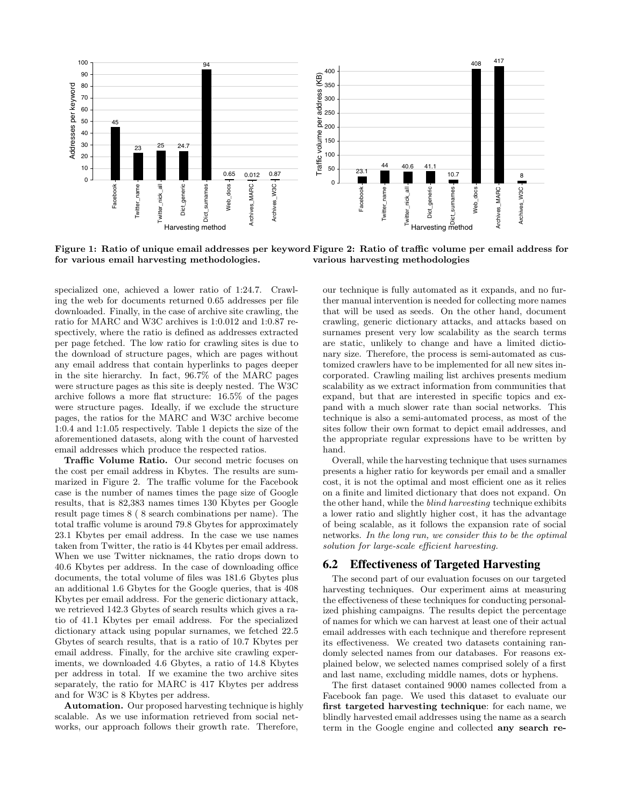

**Figure 1: Ratio of unique email addresses per keyword Figure 2: Ratio of traffic volume per email address for for various email harvesting methodologies. various harvesting methodologies**

specialized one, achieved a lower ratio of 1:24.7. Crawling the web for documents returned 0.65 addresses per file downloaded. Finally, in the case of archive site crawling, the ratio for MARC and W3C archives is 1:0.012 and 1:0.87 respectively, where the ratio is defined as addresses extracted per page fetched. The low ratio for crawling sites is due to the download of structure pages, which are pages without any email address that contain hyperlinks to pages deeper in the site hierarchy. In fact, 96.7% of the MARC pages were structure pages as this site is deeply nested. The W3C archive follows a more flat structure: 16.5% of the pages were structure pages. Ideally, if we exclude the structure pages, the ratios for the MARC and W3C archive become 1:0.4 and 1:1.05 respectively. Table 1 depicts the size of the aforementioned datasets, along with the count of harvested email addresses which produce the respected ratios.

**Traffic Volume Ratio.** Our second metric focuses on the cost per email address in Kbytes. The results are summarized in Figure 2. The traffic volume for the Facebook case is the number of names times the page size of Google results, that is 82,383 names times 130 Kbytes per Google result page times 8 ( 8 search combinations per name). The total traffic volume is around 79.8 Gbytes for approximately 23.1 Kbytes per email address. In the case we use names taken from Twitter, the ratio is 44 Kbytes per email address. When we use Twitter nicknames, the ratio drops down to 40.6 Kbytes per address. In the case of downloading office documents, the total volume of files was 181.6 Gbytes plus an additional 1.6 Gbytes for the Google queries, that is 408 Kbytes per email address. For the generic dictionary attack, we retrieved 142.3 Gbytes of search results which gives a ratio of 41.1 Kbytes per email address. For the specialized dictionary attack using popular surnames, we fetched 22.5 Gbytes of search results, that is a ratio of 10.7 Kbytes per email address. Finally, for the archive site crawling experiments, we downloaded 4.6 Gbytes, a ratio of 14.8 Kbytes per address in total. If we examine the two archive sites separately, the ratio for MARC is 417 Kbytes per address and for W3C is 8 Kbytes per address.

**Automation.** Our proposed harvesting technique is highly scalable. As we use information retrieved from social networks, our approach follows their growth rate. Therefore,

our technique is fully automated as it expands, and no further manual intervention is needed for collecting more names that will be used as seeds. On the other hand, document crawling, generic dictionary attacks, and attacks based on surnames present very low scalability as the search terms are static, unlikely to change and have a limited dictionary size. Therefore, the process is semi-automated as customized crawlers have to be implemented for all new sites incorporated. Crawling mailing list archives presents medium scalability as we extract information from communities that expand, but that are interested in specific topics and expand with a much slower rate than social networks. This technique is also a semi-automated process, as most of the sites follow their own format to depict email addresses, and the appropriate regular expressions have to be written by hand.

Overall, while the harvesting technique that uses surnames presents a higher ratio for keywords per email and a smaller cost, it is not the optimal and most efficient one as it relies on a finite and limited dictionary that does not expand. On the other hand, while the blind harvesting technique exhibits a lower ratio and slightly higher cost, it has the advantage of being scalable, as it follows the expansion rate of social networks. In the long run, we consider this to be the optimal solution for large-scale efficient harvesting.

#### **6.2 Effectiveness of Targeted Harvesting**

The second part of our evaluation focuses on our targeted harvesting techniques. Our experiment aims at measuring the effectiveness of these techniques for conducting personalized phishing campaigns. The results depict the percentage of names for which we can harvest at least one of their actual email addresses with each technique and therefore represent its effectiveness. We created two datasets containing randomly selected names from our databases. For reasons explained below, we selected names comprised solely of a first and last name, excluding middle names, dots or hyphens.

The first dataset contained 9000 names collected from a Facebook fan page. We used this dataset to evaluate our **first targeted harvesting technique**: for each name, we blindly harvested email addresses using the name as a search term in the Google engine and collected **any search re-**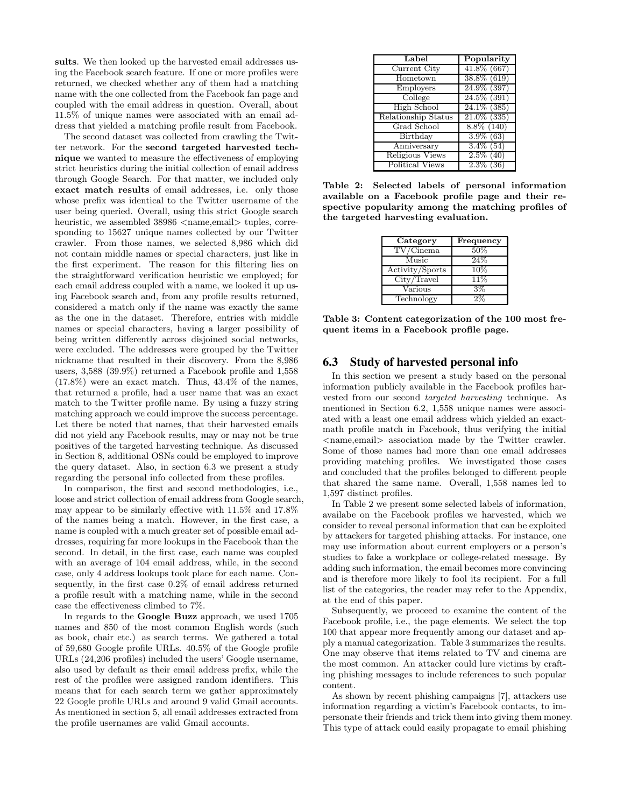**sults**. We then looked up the harvested email addresses using the Facebook search feature. If one or more profiles were returned, we checked whether any of them had a matching name with the one collected from the Facebook fan page and coupled with the email address in question. Overall, about 11.5% of unique names were associated with an email address that yielded a matching profile result from Facebook.

The second dataset was collected from crawling the Twitter network. For the **second targeted harvested technique** we wanted to measure the effectiveness of employing strict heuristics during the initial collection of email address through Google Search. For that matter, we included only **exact match results** of email addresses, i.e. only those whose prefix was identical to the Twitter username of the user being queried. Overall, using this strict Google search heuristic, we assembled 38986 *<*name,email*>* tuples, corresponding to 15627 unique names collected by our Twitter crawler. From those names, we selected 8,986 which did not contain middle names or special characters, just like in the first experiment. The reason for this filtering lies on the straightforward verification heuristic we employed; for each email address coupled with a name, we looked it up using Facebook search and, from any profile results returned, considered a match only if the name was exactly the same as the one in the dataset. Therefore, entries with middle names or special characters, having a larger possibility of being written differently across disjoined social networks, were excluded. The addresses were grouped by the Twitter nickname that resulted in their discovery. From the 8,986 users, 3,588 (39.9%) returned a Facebook profile and 1,558 (17.8%) were an exact match. Thus, 43.4% of the names, that returned a profile, had a user name that was an exact match to the Twitter profile name. By using a fuzzy string matching approach we could improve the success percentage. Let there be noted that names, that their harvested emails did not yield any Facebook results, may or may not be true positives of the targeted harvesting technique. As discussed in Section 8, additional OSNs could be employed to improve the query dataset. Also, in section 6.3 we present a study regarding the personal info collected from these profiles.

In comparison, the first and second methodologies, i.e., loose and strict collection of email address from Google search, may appear to be similarly effective with 11.5% and 17.8% of the names being a match. However, in the first case, a name is coupled with a much greater set of possible email addresses, requiring far more lookups in the Facebook than the second. In detail, in the first case, each name was coupled with an average of 104 email address, while, in the second case, only 4 address lookups took place for each name. Consequently, in the first case 0.2% of email address returned a profile result with a matching name, while in the second case the effectiveness climbed to 7%.

In regards to the **Google Buzz** approach, we used 1705 names and 850 of the most common English words (such as book, chair etc.) as search terms. We gathered a total of 59,680 Google profile URLs. 40.5% of the Google profile URLs (24,206 profiles) included the users' Google username, also used by default as their email address prefix, while the rest of the profiles were assigned random identifiers. This means that for each search term we gather approximately 22 Google profile URLs and around 9 valid Gmail accounts. As mentioned in section 5, all email addresses extracted from the profile usernames are valid Gmail accounts.

| Label               | Popularity     |
|---------------------|----------------|
| Current City        | 41.8\% (667)   |
| Hometown            | 38.8% (619)    |
| Employers           | 24.9% (397)    |
| College             | 24.5% (391)    |
| High School         | 24.1\% (385)   |
| Relationship Status | $21.0\%$ (335) |
| Grad School         | 8.8\% (140)    |
| Birthday            | $3.9\%$ (63)   |
| Anniversary         | $3.4\%$ (54)   |
| Religious Views     | $2.5\%$ (40)   |
| Political Views     | $2.3\%$ (36)   |

**Table 2: Selected labels of personal information available on a Facebook profile page and their respective popularity among the matching profiles of the targeted harvesting evaluation.**

| Frequency |
|-----------|
| 50%       |
| 24%       |
| 10%       |
| 11%       |
| 37        |
|           |
|           |

**Table 3: Content categorization of the 100 most frequent items in a Facebook profile page.**

#### **6.3 Study of harvested personal info**

In this section we present a study based on the personal information publicly available in the Facebook profiles harvested from our second targeted harvesting technique. As mentioned in Section 6.2, 1,558 unique names were associated with a least one email address which yielded an exactmath profile match in Facebook, thus verifying the initial *<*name,email*>* association made by the Twitter crawler. Some of those names had more than one email addresses providing matching profiles. We investigated those cases and concluded that the profiles belonged to different people that shared the same name. Overall, 1,558 names led to 1,597 distinct profiles.

In Table 2 we present some selected labels of information, availabe on the Facebook profiles we harvested, which we consider to reveal personal information that can be exploited by attackers for targeted phishing attacks. For instance, one may use information about current employers or a person's studies to fake a workplace or college-related message. By adding such information, the email becomes more convincing and is therefore more likely to fool its recipient. For a full list of the categories, the reader may refer to the Appendix, at the end of this paper.

Subsequently, we proceed to examine the content of the Facebook profile, i.e., the page elements. We select the top 100 that appear more frequently among our dataset and apply a manual categorization. Table 3 summarizes the results. One may observe that items related to TV and cinema are the most common. An attacker could lure victims by crafting phishing messages to include references to such popular content.

As shown by recent phishing campaigns [7], attackers use information regarding a victim's Facebook contacts, to impersonate their friends and trick them into giving them money. This type of attack could easily propagate to email phishing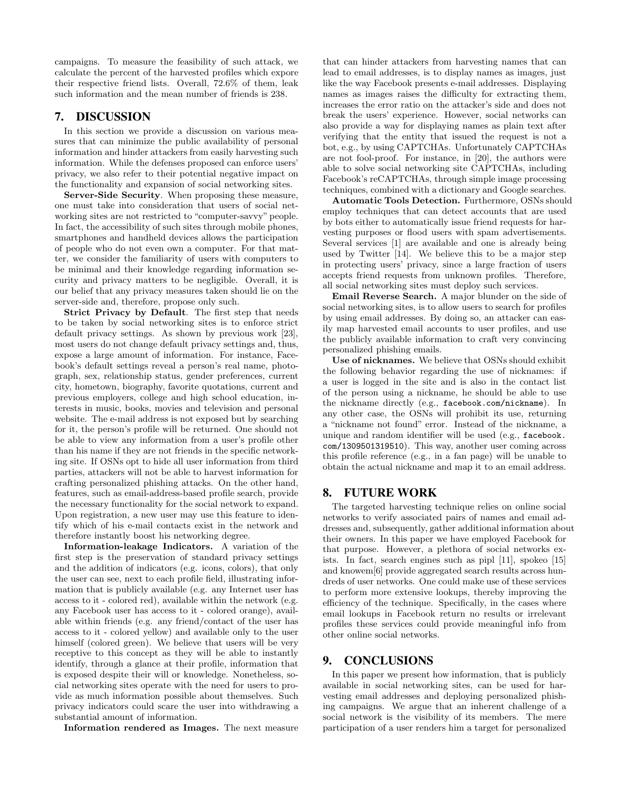campaigns. To measure the feasibility of such attack, we calculate the percent of the harvested profiles which expore their respective friend lists. Overall, 72.6% of them, leak such information and the mean number of friends is 238.

# **7. DISCUSSION**

In this section we provide a discussion on various measures that can minimize the public availability of personal information and hinder attackers from easily harvesting such information. While the defenses proposed can enforce users' privacy, we also refer to their potential negative impact on the functionality and expansion of social networking sites.

**Server-Side Security**. When proposing these measure, one must take into consideration that users of social networking sites are not restricted to "computer-savvy" people. In fact, the accessibility of such sites through mobile phones, smartphones and handheld devices allows the participation of people who do not even own a computer. For that matter, we consider the familiarity of users with computers to be minimal and their knowledge regarding information security and privacy matters to be negligible. Overall, it is our belief that any privacy measures taken should lie on the server-side and, therefore, propose only such.

**Strict Privacy by Default**. The first step that needs to be taken by social networking sites is to enforce strict default privacy settings. As shown by previous work [23], most users do not change default privacy settings and, thus, expose a large amount of information. For instance, Facebook's default settings reveal a person's real name, photograph, sex, relationship status, gender preferences, current city, hometown, biography, favorite quotations, current and previous employers, college and high school education, interests in music, books, movies and television and personal website. The e-mail address is not exposed but by searching for it, the person's profile will be returned. One should not be able to view any information from a user's profile other than his name if they are not friends in the specific networking site. If OSNs opt to hide all user information from third parties, attackers will not be able to harvest information for crafting personalized phishing attacks. On the other hand, features, such as email-address-based profile search, provide the necessary functionality for the social network to expand. Upon registration, a new user may use this feature to identify which of his e-mail contacts exist in the network and therefore instantly boost his networking degree.

**Information-leakage Indicators.** A variation of the first step is the preservation of standard privacy settings and the addition of indicators (e.g. icons, colors), that only the user can see, next to each profile field, illustrating information that is publicly available (e.g. any Internet user has access to it - colored red), available within the network (e.g. any Facebook user has access to it - colored orange), available within friends (e.g. any friend/contact of the user has access to it - colored yellow) and available only to the user himself (colored green). We believe that users will be very receptive to this concept as they will be able to instantly identify, through a glance at their profile, information that is exposed despite their will or knowledge. Nonetheless, social networking sites operate with the need for users to provide as much information possible about themselves. Such privacy indicators could scare the user into withdrawing a substantial amount of information.

**Information rendered as Images.** The next measure

that can hinder attackers from harvesting names that can lead to email addresses, is to display names as images, just like the way Facebook presents e-mail addresses. Displaying names as images raises the difficulty for extracting them, increases the error ratio on the attacker's side and does not break the users' experience. However, social networks can also provide a way for displaying names as plain text after verifying that the entity that issued the request is not a bot, e.g., by using CAPTCHAs. Unfortunately CAPTCHAs are not fool-proof. For instance, in [20], the authors were able to solve social networking site CAPTCHAs, including Facebook's reCAPTCHAs, through simple image processing techniques, combined with a dictionary and Google searches.

**Automatic Tools Detection.** Furthermore, OSNs should employ techniques that can detect accounts that are used by bots either to automatically issue friend requests for harvesting purposes or flood users with spam advertisements. Several services [1] are available and one is already being used by Twitter [14]. We believe this to be a major step in protecting users' privacy, since a large fraction of users accepts friend requests from unknown profiles. Therefore, all social networking sites must deploy such services.

**Email Reverse Search.** A major blunder on the side of social networking sites, is to allow users to search for profiles by using email addresses. By doing so, an attacker can easily map harvested email accounts to user profiles, and use the publicly available information to craft very convincing personalized phishing emails.

**Use of nicknames.** We believe that OSNs should exhibit the following behavior regarding the use of nicknames: if a user is logged in the site and is also in the contact list of the person using a nickname, he should be able to use the nickname directly (e.g., facebook.com/nickname). In any other case, the OSNs will prohibit its use, returning a "nickname not found" error. Instead of the nickname, a unique and random identifier will be used (e.g., facebook. com/1309501319510). This way, another user coming across this profile reference (e.g., in a fan page) will be unable to obtain the actual nickname and map it to an email address.

# **8. FUTURE WORK**

The targeted harvesting technique relies on online social networks to verify associated pairs of names and email addresses and, subsequently, gather additional information about their owners. In this paper we have employed Facebook for that purpose. However, a plethora of social networks exists. In fact, search engines such as pipl [11], spokeo [15] and knowem[6] provide aggregated search results across hundreds of user networks. One could make use of these services to perform more extensive lookups, thereby improving the efficiency of the technique. Specifically, in the cases where email lookups in Facebook return no results or irrelevant profiles these services could provide meaningful info from other online social networks.

### **9. CONCLUSIONS**

In this paper we present how information, that is publicly available in social networking sites, can be used for harvesting email addresses and deploying personalized phishing campaigns. We argue that an inherent challenge of a social network is the visibility of its members. The mere participation of a user renders him a target for personalized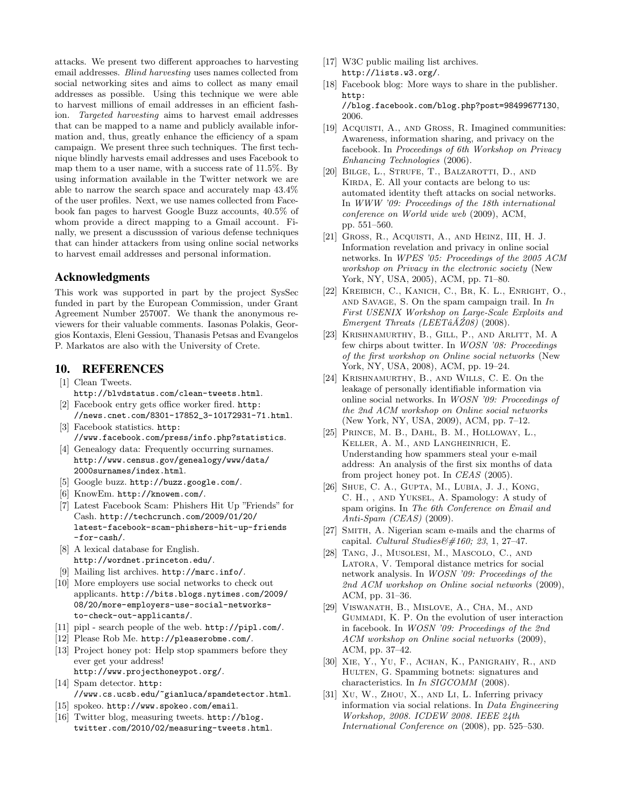attacks. We present two different approaches to harvesting email addresses. Blind harvesting uses names collected from social networking sites and aims to collect as many email addresses as possible. Using this technique we were able to harvest millions of email addresses in an efficient fashion. Targeted harvesting aims to harvest email addresses that can be mapped to a name and publicly available information and, thus, greatly enhance the efficiency of a spam campaign. We present three such techniques. The first technique blindly harvests email addresses and uses Facebook to map them to a user name, with a success rate of 11.5%. By using information available in the Twitter network we are able to narrow the search space and accurately map 43.4% of the user profiles. Next, we use names collected from Facebook fan pages to harvest Google Buzz accounts, 40.5% of whom provide a direct mapping to a Gmail account. Finally, we present a discusssion of various defense techniques that can hinder attackers from using online social networks to harvest email addresses and personal information.

#### **Acknowledgments**

This work was supported in part by the project SysSec funded in part by the European Commission, under Grant Agreement Number 257007. We thank the anonymous reviewers for their valuable comments. Iasonas Polakis, Georgios Kontaxis, Eleni Gessiou, Thanasis Petsas and Evangelos P. Markatos are also with the University of Crete.

## **10. REFERENCES**

- [1] Clean Tweets.
- http://blvdstatus.com/clean-tweets.html. [2] Facebook entry gets office worker fired. http:
- //news.cnet.com/8301-17852\_3-10172931-71.html. [3] Facebook statistics. http:
- //www.facebook.com/press/info.php?statistics.
- [4] Genealogy data: Frequently occurring surnames. http://www.census.gov/genealogy/www/data/ 2000surnames/index.html.
- [5] Google buzz. http://buzz.google.com/.
- [6] KnowEm. http://knowem.com/.
- [7] Latest Facebook Scam: Phishers Hit Up "Friends" for Cash. http://techcrunch.com/2009/01/20/ latest-facebook-scam-phishers-hit-up-friends -for-cash/.
- [8] A lexical database for English. http://wordnet.princeton.edu/.
- [9] Mailing list archives. http://marc.info/.
- [10] More employers use social networks to check out applicants. http://bits.blogs.nytimes.com/2009/ 08/20/more-employers-use-social-networksto-check-out-applicants/.
- [11] pipl search people of the web. http://pipl.com/.
- [12] Please Rob Me. http://pleaserobme.com/.
- [13] Project honey pot: Help stop spammers before they ever get your address!
- http://www.projecthoneypot.org/. [14] Spam detector. http:
- //www.cs.ucsb.edu/~gianluca/spamdetector.html. [15] spokeo. http://www.spokeo.com/email.
- [16] Twitter blog, measuring tweets. http://blog.
- twitter.com/2010/02/measuring-tweets.html.
- [17] W3C public mailing list archives. http://lists.w3.org/.
- [18] Facebook blog: More ways to share in the publisher. http: //blog.facebook.com/blog.php?post=98499677130,

2006.

- [19] ACQUISTI, A., AND GROSS, R. Imagined communities: Awareness, information sharing, and privacy on the facebook. In Proceedings of 6th Workshop on Privacy Enhancing Technologies (2006).
- [20] BILGE, L., STRUFE, T., BALZAROTTI, D., AND KIRDA, E. All your contacts are belong to us: automated identity theft attacks on social networks. In WWW '09: Proceedings of the 18th international conference on World wide web (2009), ACM, pp. 551–560.
- [21] Gross, R., Acquisti, A., and Heinz, III, H. J. Information revelation and privacy in online social networks. In WPES '05: Proceedings of the 2005 ACM workshop on Privacy in the electronic society (New York, NY, USA, 2005), ACM, pp. 71–80.
- [22] Kreibich, C., Kanich, C., Br, K. L., Enright, O., AND SAVAGE, S. On the spam campaign trail. In  $In$ First USENIX Workshop on Large-Scale Exploits and Emergent Threats  $(LEET\hat{A}Z08)$  (2008).
- [23] Krishnamurthy, B., Gill, P., and Arlitt, M. A few chirps about twitter. In WOSN '08: Proceedings of the first workshop on Online social networks (New York, NY, USA, 2008), ACM, pp. 19–24.
- [24] Krishnamurthy, B., and Wills, C. E. On the leakage of personally identifiable information via online social networks. In WOSN '09: Proceedings of the 2nd ACM workshop on Online social networks (New York, NY, USA, 2009), ACM, pp. 7–12.
- [25] Prince, M. B., Dahl, B. M., Holloway, L., Keller, A. M., and Langheinrich, E. Understanding how spammers steal your e-mail address: An analysis of the first six months of data from project honey pot. In CEAS (2005).
- [26] Shue, C. A., Gupta, M., Lubia, J. J., Kong, C. H., , and Yuksel, A. Spamology: A study of spam origins. In The 6th Conference on Email and Anti-Spam (CEAS) (2009).
- [27] SMITH, A. Nigerian scame-mails and the charms of capital. Cultural Studies $\mathcal{E#}160$ ; 23, 1, 27-47.
- [28] Tang, J., Musolesi, M., Mascolo, C., and Latora, V. Temporal distance metrics for social network analysis. In WOSN '09: Proceedings of the 2nd ACM workshop on Online social networks (2009), ACM, pp. 31–36.
- [29] Viswanath, B., Mislove, A., Cha, M., and Gummadi, K. P. On the evolution of user interaction in facebook. In WOSN '09: Proceedings of the 2nd ACM workshop on Online social networks (2009), ACM, pp. 37–42.
- [30] Xie, Y., Yu, F., Achan, K., Panigrahy, R., and Hulten, G. Spamming botnets: signatures and characteristics. In In SIGCOMM (2008).
- [31] Xu, W., Zhou, X., and Li, L. Inferring privacy information via social relations. In Data Engineering Workshop, 2008. ICDEW 2008. IEEE 24th International Conference on (2008), pp. 525–530.